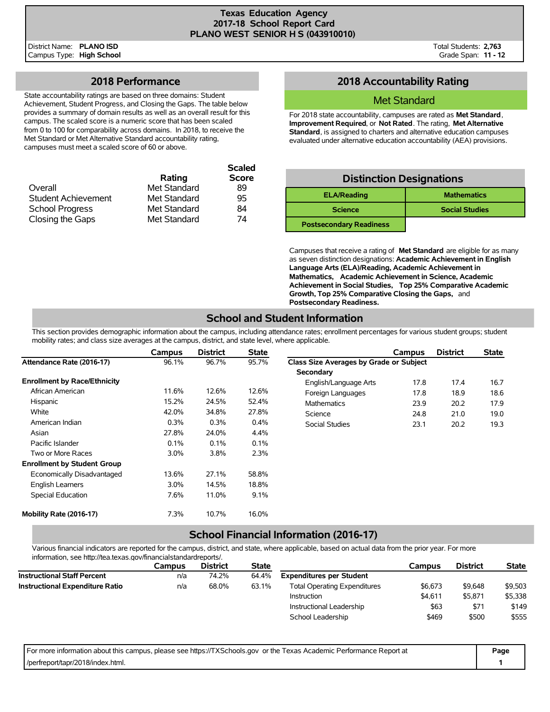Total Students: **2,763** Grade Span: **11 - 12**

## **2018 Performance**

State accountability ratings are based on three domains: Student Achievement, Student Progress, and Closing the Gaps. The table below provides a summary of domain results as well as an overall result for this campus. The scaled score is a numeric score that has been scaled from 0 to 100 for comparability across domains. In 2018, to receive the Met Standard or Met Alternative Standard accountability rating, campuses must meet a scaled score of 60 or above.

|                            |              | <b>Scaled</b> |
|----------------------------|--------------|---------------|
|                            | Rating       | <b>Score</b>  |
| Overall                    | Met Standard | 89            |
| <b>Student Achievement</b> | Met Standard | 95            |
| <b>School Progress</b>     | Met Standard | 84            |
| Closing the Gaps           | Met Standard | 74            |

# **2018 Accountability Rating**

### Met Standard

For 2018 state accountability, campuses are rated as **Met Standard**, **Improvement Required**, or **Not Rated**. The rating, **Met Alternative Standard**, is assigned to charters and alternative education campuses evaluated under alternative education accountability (AEA) provisions.

| <b>Distinction Designations</b> |                       |  |  |  |  |  |  |  |
|---------------------------------|-----------------------|--|--|--|--|--|--|--|
| <b>ELA/Reading</b>              | <b>Mathematics</b>    |  |  |  |  |  |  |  |
| <b>Science</b>                  | <b>Social Studies</b> |  |  |  |  |  |  |  |
| <b>Postsecondary Readiness</b>  |                       |  |  |  |  |  |  |  |

Campuses that receive a rating of **Met Standard** are eligible for as many as seven distinction designations: **Academic Achievement in English Language Arts (ELA)/Reading, Academic Achievement in Mathematics, Academic Achievement in Science, Academic Achievement in Social Studies, Top 25% Comparative Academic Growth, Top 25% Comparative Closing the Gaps,** and **Postsecondary Readiness.**

# **School and Student Information**

This section provides demographic information about the campus, including attendance rates; enrollment percentages for various student groups; student mobility rates; and class size averages at the campus, district, and state level, where applicable.

|                                     | Campus  | <b>District</b> | <b>State</b> |                                                | Campus | <b>District</b> | <b>State</b> |
|-------------------------------------|---------|-----------------|--------------|------------------------------------------------|--------|-----------------|--------------|
| Attendance Rate (2016-17)           | 96.1%   | 96.7%           | 95.7%        | <b>Class Size Averages by Grade or Subject</b> |        |                 |              |
|                                     |         |                 |              | Secondary                                      |        |                 |              |
| <b>Enrollment by Race/Ethnicity</b> |         |                 |              | English/Language Arts                          | 17.8   | 17.4            | 16.7         |
| African American                    | 11.6%   | 12.6%           | 12.6%        | Foreign Languages                              | 17.8   | 18.9            | 18.6         |
| Hispanic                            | 15.2%   | 24.5%           | 52.4%        | Mathematics                                    | 23.9   | 20.2            | 17.9         |
| White                               | 42.0%   | 34.8%           | 27.8%        | Science                                        | 24.8   | 21.0            | 19.0         |
| American Indian                     | 0.3%    | 0.3%            | 0.4%         | Social Studies                                 | 23.1   | 20.2            | 19.3         |
| Asian                               | 27.8%   | 24.0%           | 4.4%         |                                                |        |                 |              |
| Pacific Islander                    | 0.1%    | 0.1%            | 0.1%         |                                                |        |                 |              |
| Two or More Races                   | $3.0\%$ | 3.8%            | 2.3%         |                                                |        |                 |              |
| <b>Enrollment by Student Group</b>  |         |                 |              |                                                |        |                 |              |
| Economically Disadvantaged          | 13.6%   | 27.1%           | 58.8%        |                                                |        |                 |              |
| <b>English Learners</b>             | $3.0\%$ | 14.5%           | 18.8%        |                                                |        |                 |              |
| Special Education                   | 7.6%    | 11.0%           | 9.1%         |                                                |        |                 |              |
| Mobility Rate (2016-17)             | 7.3%    | 10.7%           | 16.0%        |                                                |        |                 |              |

### **School Financial Information (2016-17)**

Various financial indicators are reported for the campus, district, and state, where applicable, based on actual data from the prior year. For more information, see http://tea.texas.gov/financialstandardreports/.

|                                        | Campus | <b>District</b> | <b>State</b> |                                     | Campus  | <b>District</b> | <b>State</b> |
|----------------------------------------|--------|-----------------|--------------|-------------------------------------|---------|-----------------|--------------|
| <b>Instructional Staff Percent</b>     | n/a    | 74.2%           | 64.4%        | <b>Expenditures per Student</b>     |         |                 |              |
| <b>Instructional Expenditure Ratio</b> | n/a    | 68.0%           | 63.1%        | <b>Total Operating Expenditures</b> | \$6.673 | \$9,648         | \$9,503      |
|                                        |        |                 |              | Instruction                         | \$4.611 | \$5,871         | \$5,338      |
|                                        |        |                 |              | Instructional Leadership            | \$63    | \$71            | \$149        |
|                                        |        |                 |              | School Leadership                   | \$469   | \$500           | \$555        |

| For more information about this campus, please see https://TXSchools.gov or the Texas Academic Performance Report at | Page |
|----------------------------------------------------------------------------------------------------------------------|------|
| /perfreport/tapr/2018/index.html.                                                                                    |      |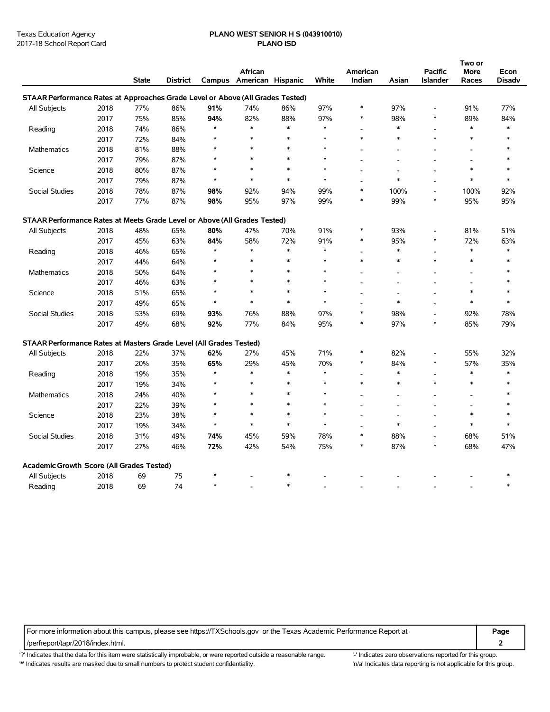#### Texas Education Agency **PLANO WEST SENIOR H S (043910010)** 2017-18 School Report Card **PLANO ISD**

|                                                                                |      |              |                 |         |                          |        |        |                |         |                          | Two or         |               |
|--------------------------------------------------------------------------------|------|--------------|-----------------|---------|--------------------------|--------|--------|----------------|---------|--------------------------|----------------|---------------|
|                                                                                |      |              |                 |         | African                  |        |        | American       |         | <b>Pacific</b>           | More           | Econ          |
|                                                                                |      | <b>State</b> | <b>District</b> |         | Campus American Hispanic |        | White  | Indian         | Asian   | <b>Islander</b>          | Races          | <b>Disadv</b> |
| STAAR Performance Rates at Approaches Grade Level or Above (All Grades Tested) |      |              |                 |         |                          |        |        |                |         |                          |                |               |
| All Subjects                                                                   | 2018 | 77%          | 86%             | 91%     | 74%                      | 86%    | 97%    | $\ast$         | 97%     | $\overline{\phantom{a}}$ | 91%            | 77%           |
|                                                                                | 2017 | 75%          | 85%             | 94%     | 82%                      | 88%    | 97%    | $\ast$         | 98%     | *                        | 89%            | 84%           |
| Reading                                                                        | 2018 | 74%          | 86%             | $\star$ | $\ast$                   | $\ast$ | $\ast$ |                | $\ast$  | $\overline{a}$           | $\ast$         | $\ast$        |
|                                                                                | 2017 | 72%          | 84%             | $\star$ | $\ast$                   | $\ast$ | $\ast$ | $\ast$         | $\ast$  | $\ast$                   | $\ast$         | $\ast$        |
| Mathematics                                                                    | 2018 | 81%          | 88%             | $\star$ | $\ast$                   | $\ast$ | $\ast$ |                |         |                          |                |               |
|                                                                                | 2017 | 79%          | 87%             | $\star$ | $\ast$                   | $\ast$ | $\ast$ |                |         | L,                       | $\overline{a}$ |               |
| Science                                                                        | 2018 | 80%          | 87%             | $\star$ | $\ast$                   | $\ast$ | $\ast$ |                |         |                          | $\ast$         | $\ast$        |
|                                                                                | 2017 | 79%          | 87%             | $\star$ | $\ast$                   | $\ast$ | $\ast$ |                | $\ast$  | $\overline{a}$           | $\ast$         | $\ast$        |
| <b>Social Studies</b>                                                          | 2018 | 78%          | 87%             | 98%     | 92%                      | 94%    | 99%    | $\ast$         | 100%    | L,                       | 100%           | 92%           |
|                                                                                | 2017 | 77%          | 87%             | 98%     | 95%                      | 97%    | 99%    | $\ast$         | 99%     | *                        | 95%            | 95%           |
| STAAR Performance Rates at Meets Grade Level or Above (All Grades Tested)      |      |              |                 |         |                          |        |        |                |         |                          |                |               |
| All Subjects                                                                   | 2018 | 48%          | 65%             | 80%     | 47%                      | 70%    | 91%    | $\ast$         | 93%     | $\overline{a}$           | 81%            | 51%           |
|                                                                                | 2017 | 45%          | 63%             | 84%     | 58%                      | 72%    | 91%    | $\ast$         | 95%     | $\ast$                   | 72%            | 63%           |
| Reading                                                                        | 2018 | 46%          | 65%             | $\star$ | $\ast$                   | $\ast$ | $\ast$ |                | $\ast$  | L,                       | $\ast$         | $\ast$        |
|                                                                                | 2017 | 44%          | 64%             | $\star$ | $\ast$                   | $\ast$ | $\ast$ | $\ast$         | $\ast$  | $\ast$                   | $\ast$         | $\ast$        |
| <b>Mathematics</b>                                                             | 2018 | 50%          | 64%             | $\star$ | $\ast$                   | $\ast$ | $\ast$ |                |         |                          |                | $\ast$        |
|                                                                                | 2017 | 46%          | 63%             | $\star$ | $\ast$                   | $\ast$ | $\ast$ |                |         | ۰                        |                | $\ast$        |
| Science                                                                        | 2018 | 51%          | 65%             | $\star$ | $\ast$                   | $\ast$ | $\ast$ |                |         | L,                       | $\ast$         | $\ast$        |
|                                                                                | 2017 | 49%          | 65%             | $\star$ | $\ast$                   | $\ast$ | $\ast$ |                | $\ast$  |                          | $\ast$         | $\ast$        |
| Social Studies                                                                 | 2018 | 53%          | 69%             | 93%     | 76%                      | 88%    | 97%    | $\ast$         | 98%     | Ĭ.                       | 92%            | 78%           |
|                                                                                | 2017 | 49%          | 68%             | 92%     | 77%                      | 84%    | 95%    | $\ast$         | 97%     | $\ast$                   | 85%            | 79%           |
| STAAR Performance Rates at Masters Grade Level (All Grades Tested)             |      |              |                 |         |                          |        |        |                |         |                          |                |               |
| All Subjects                                                                   | 2018 | 22%          | 37%             | 62%     | 27%                      | 45%    | 71%    | $\ast$         | 82%     | $\overline{a}$           | 55%            | 32%           |
|                                                                                | 2017 | 20%          | 35%             | 65%     | 29%                      | 45%    | 70%    | $\ast$         | 84%     | *                        | 57%            | 35%           |
| Reading                                                                        | 2018 | 19%          | 35%             | $\star$ | $\ast$                   | $\ast$ | $\ast$ | $\overline{a}$ | $\ast$  | L.                       | $\ast$         | $\ast$        |
|                                                                                | 2017 | 19%          | 34%             | $\star$ | $\ast$                   | $\ast$ | $\ast$ | $\ast$         | $\ast$  | $\ast$                   | $\ast$         | $\ast$        |
| Mathematics                                                                    | 2018 | 24%          | 40%             | $\star$ | $\ast$                   | $\ast$ | $\ast$ |                |         | L,                       |                | $\ast$        |
|                                                                                | 2017 | 22%          | 39%             | $\star$ | $\ast$                   | $\ast$ | *      |                |         |                          |                | $\ast$        |
| Science                                                                        | 2018 | 23%          | 38%             | $\star$ | $\ast$                   | $\ast$ | $\ast$ |                |         | Ē,                       | $\ast$         | $\star$       |
|                                                                                | 2017 | 19%          | 34%             | $\star$ | $\ast$                   | $\ast$ | $\ast$ |                | $\star$ |                          | $\ast$         | $\star$       |
| <b>Social Studies</b>                                                          | 2018 | 31%          | 49%             | 74%     | 45%                      | 59%    | 78%    | $\ast$         | 88%     | L,                       | 68%            | 51%           |
|                                                                                | 2017 | 27%          | 46%             | 72%     | 42%                      | 54%    | 75%    | $\ast$         | 87%     | $\ast$                   | 68%            | 47%           |
| Academic Growth Score (All Grades Tested)                                      |      |              |                 |         |                          |        |        |                |         |                          |                |               |
| All Subjects                                                                   | 2018 | 69           | 75              | $\star$ |                          | $\ast$ |        |                |         |                          |                |               |
| Reading                                                                        | 2018 | 69           | 74              | $\star$ |                          | $\ast$ |        |                |         |                          |                | $\ast$        |
|                                                                                |      |              |                 |         |                          |        |        |                |         |                          |                |               |

For more information about this campus, please see https://TXSchools.gov or the Texas Academic Performance Report at **Page** /perfreport/tapr/2018/index.html. **2**

'?' Indicates that the data for this item were statistically improbable, or were reported outside a reasonable range. '' Indicates zero observations reported for this group. '\*' Indicates results are masked due to small numbers to protect student confidentiality. Moreover, the this discussed at a reporting is not applicable for this group.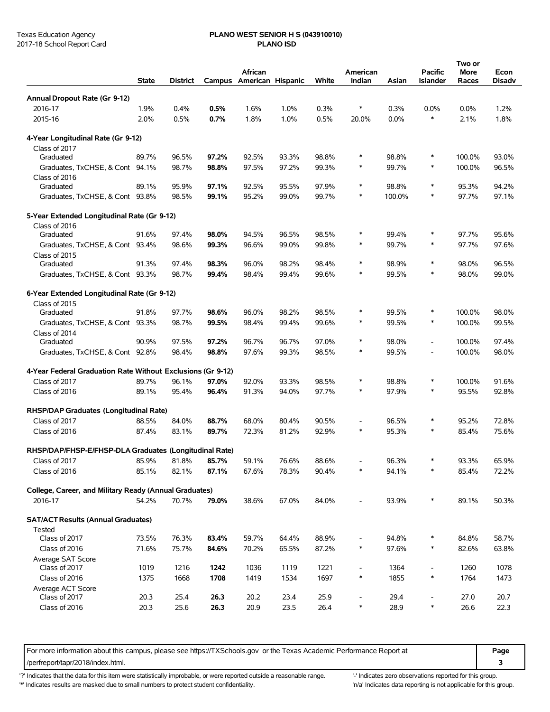# Texas Education Agency **PLANO WEST SENIOR H S (043910010)**

|                                                              | <b>State</b> | <b>District</b> |       | African<br>Campus American Hispanic |       | White | American<br>Indian           | Asian  | <b>Pacific</b><br><b>Islander</b> | Two or<br><b>More</b><br>Races | Econ<br><b>Disadv</b> |
|--------------------------------------------------------------|--------------|-----------------|-------|-------------------------------------|-------|-------|------------------------------|--------|-----------------------------------|--------------------------------|-----------------------|
| Annual Dropout Rate (Gr 9-12)                                |              |                 |       |                                     |       |       |                              |        |                                   |                                |                       |
| 2016-17                                                      | 1.9%         | 0.4%            | 0.5%  | 1.6%                                | 1.0%  | 0.3%  | $\ast$                       | 0.3%   | 0.0%                              | 0.0%                           | 1.2%                  |
| 2015-16                                                      | 2.0%         | 0.5%            | 0.7%  | 1.8%                                | 1.0%  | 0.5%  | 20.0%                        | 0.0%   | $\ast$                            | 2.1%                           | 1.8%                  |
| 4-Year Longitudinal Rate (Gr 9-12)                           |              |                 |       |                                     |       |       |                              |        |                                   |                                |                       |
| Class of 2017                                                |              |                 |       |                                     |       |       |                              |        |                                   |                                |                       |
| Graduated                                                    | 89.7%        | 96.5%           | 97.2% | 92.5%                               | 93.3% | 98.8% | $\ast$                       | 98.8%  | ∗                                 | 100.0%                         | 93.0%                 |
| Graduates, TxCHSE, & Cont 94.1%                              |              | 98.7%           | 98.8% | 97.5%                               | 97.2% | 99.3% | $\ast$                       | 99.7%  | $\ast$                            | 100.0%                         | 96.5%                 |
| Class of 2016<br>Graduated                                   |              |                 |       |                                     |       |       | $\ast$                       |        | $\ast$                            |                                |                       |
|                                                              | 89.1%        | 95.9%           | 97.1% | 92.5%                               | 95.5% | 97.9% | ∗                            | 98.8%  | ∗                                 | 95.3%                          | 94.2%                 |
| Graduates, TxCHSE, & Cont 93.8%                              |              | 98.5%           | 99.1% | 95.2%                               | 99.0% | 99.7% |                              | 100.0% |                                   | 97.7%                          | 97.1%                 |
| 5-Year Extended Longitudinal Rate (Gr 9-12)<br>Class of 2016 |              |                 |       |                                     |       |       |                              |        |                                   |                                |                       |
| Graduated                                                    | 91.6%        | 97.4%           | 98.0% | 94.5%                               | 96.5% | 98.5% | ∗                            | 99.4%  | ∗                                 | 97.7%                          | 95.6%                 |
| Graduates, TxCHSE, & Cont                                    | 93.4%        | 98.6%           | 99.3% | 96.6%                               | 99.0% | 99.8% | ∗                            | 99.7%  | *                                 | 97.7%                          | 97.6%                 |
| Class of 2015                                                |              |                 |       |                                     |       |       |                              |        |                                   |                                |                       |
| Graduated                                                    | 91.3%        | 97.4%           | 98.3% | 96.0%                               | 98.2% | 98.4% | $\ast$                       | 98.9%  | $\ast$                            | 98.0%                          | 96.5%                 |
| Graduates, TxCHSE, & Cont 93.3%                              |              | 98.7%           | 99.4% | 98.4%                               | 99.4% | 99.6% | $\ast$                       | 99.5%  | $\ast$                            | 98.0%                          | 99.0%                 |
| 6-Year Extended Longitudinal Rate (Gr 9-12)                  |              |                 |       |                                     |       |       |                              |        |                                   |                                |                       |
| Class of 2015                                                |              |                 |       |                                     |       |       |                              |        |                                   |                                |                       |
| Graduated                                                    | 91.8%        | 97.7%           | 98.6% | 96.0%                               | 98.2% | 98.5% | $\ast$                       | 99.5%  | $\ast$                            | 100.0%                         | 98.0%                 |
| Graduates, TxCHSE, & Cont 93.3%                              |              | 98.7%           | 99.5% | 98.4%                               | 99.4% | 99.6% | $\ast$                       | 99.5%  | $\ast$                            | 100.0%                         | 99.5%                 |
| Class of 2014                                                |              |                 |       |                                     |       |       |                              |        |                                   |                                |                       |
| Graduated                                                    | 90.9%        | 97.5%           | 97.2% | 96.7%                               | 96.7% | 97.0% | ∗                            | 98.0%  | $\overline{\phantom{0}}$          | 100.0%                         | 97.4%                 |
| Graduates, TxCHSE, & Cont 92.8%                              |              | 98.4%           | 98.8% | 97.6%                               | 99.3% | 98.5% | $\ast$                       | 99.5%  | $\overline{\phantom{a}}$          | 100.0%                         | 98.0%                 |
| 4-Year Federal Graduation Rate Without Exclusions (Gr 9-12)  |              |                 |       |                                     |       |       |                              |        |                                   |                                |                       |
| Class of 2017                                                | 89.7%        | 96.1%           | 97.0% | 92.0%                               | 93.3% | 98.5% | ∗                            | 98.8%  | ∗                                 | 100.0%                         | 91.6%                 |
| Class of 2016                                                | 89.1%        | 95.4%           | 96.4% | 91.3%                               | 94.0% | 97.7% | $\ast$                       | 97.9%  | $\ast$                            | 95.5%                          | 92.8%                 |
| RHSP/DAP Graduates (Longitudinal Rate)                       |              |                 |       |                                     |       |       |                              |        |                                   |                                |                       |
| Class of 2017                                                | 88.5%        | 84.0%           | 88.7% | 68.0%                               | 80.4% | 90.5% | $\overline{a}$               | 96.5%  | $\ast$                            | 95.2%                          | 72.8%                 |
| Class of 2016                                                | 87.4%        | 83.1%           | 89.7% | 72.3%                               | 81.2% | 92.9% | $\ast$                       | 95.3%  | $\ast$                            | 85.4%                          | 75.6%                 |
| RHSP/DAP/FHSP-E/FHSP-DLA Graduates (Longitudinal Rate)       |              |                 |       |                                     |       |       |                              |        |                                   |                                |                       |
| Class of 2017                                                | 85.9%        | 81.8%           | 85.7% | 59.1%                               | 76.6% | 88.6% |                              | 96.3%  | ∗                                 | 93.3%                          | 65.9%                 |
| Class of 2016                                                | 85.1%        | 82.1%           | 87.1% | 67.6%                               | 78.3% | 90.4% | ∗                            | 94.1%  | ∗                                 | 85.4%                          | 72.2%                 |
| College, Career, and Military Ready (Annual Graduates)       |              |                 |       |                                     |       |       |                              |        |                                   |                                |                       |
| 2016-17                                                      | 54.2%        | 70.7%           | 79.0% | 38.6%                               | 67.0% | 84.0% |                              | 93.9%  | $\ast$                            | 89.1%                          | 50.3%                 |
| <b>SAT/ACT Results (Annual Graduates)</b>                    |              |                 |       |                                     |       |       |                              |        |                                   |                                |                       |
| Tested                                                       |              |                 |       |                                     |       |       |                              |        |                                   |                                |                       |
| Class of 2017                                                | 73.5%        | 76.3%           | 83.4% | 59.7%                               | 64.4% | 88.9% |                              | 94.8%  | $\ast$                            | 84.8%                          | 58.7%                 |
| Class of 2016                                                | 71.6%        | 75.7%           | 84.6% | 70.2%                               | 65.5% | 87.2% | $\ast$                       | 97.6%  | $\ast$                            | 82.6%                          | 63.8%                 |
| Average SAT Score                                            |              |                 |       |                                     |       |       |                              |        |                                   |                                |                       |
| Class of 2017                                                | 1019         | 1216            | 1242  | 1036                                | 1119  | 1221  | $\qquad \qquad \blacksquare$ | 1364   | $\overline{a}$                    | 1260                           | 1078                  |
| Class of 2016                                                | 1375         | 1668            | 1708  | 1419                                | 1534  | 1697  | ∗                            | 1855   | ∗                                 | 1764                           | 1473                  |
| Average ACT Score                                            |              |                 |       |                                     |       |       |                              |        |                                   |                                |                       |
| Class of 2017                                                | 20.3         | 25.4            | 26.3  | 20.2                                | 23.4  | 25.9  | $\overline{a}$<br>∗          | 29.4   | $\overline{\phantom{a}}$<br>*     | 27.0                           | 20.7                  |
| Class of 2016                                                | 20.3         | 25.6            | 26.3  | 20.9                                | 23.5  | 26.4  |                              | 28.9   |                                   | 26.6                           | 22.3                  |

For more information about this campus, please see https://TXSchools.gov or the Texas Academic Performance Report at **Page** /perfreport/tapr/2018/index.html. **3**

'?' Indicates that the data for this item were statistically improbable, or were reported outside a reasonable range. "Indicates zero observations reported for this group.

'\*' Indicates results are masked due to small numbers to protect student confidentiality. 
"n/a' Indicates data reporting is not applicable for this group.